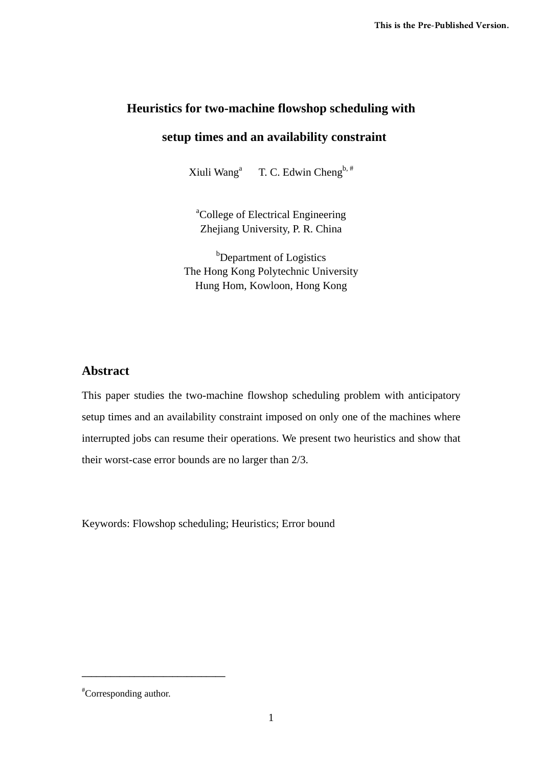# **Heuristics for two-machine flowshop scheduling with**

# **setup times and an availability constraint**

Xiuli Wanga T. C. Edwin Cheng<sup>b, #</sup>

<sup>a</sup>College of Electrical Engineering Zhejiang University, P. R. China

<sup>b</sup>Department of Logistics The Hong Kong Polytechnic University Hung Hom, Kowloon, Hong Kong

# **Abstract**

This paper studies the two-machine flowshop scheduling problem with anticipatory setup times and an availability constraint imposed on only one of the machines where interrupted jobs can resume their operations. We present two heuristics and show that their worst-case error bounds are no larger than 2/3.

Keywords: Flowshop scheduling; Heuristics; Error bound

**\_\_\_\_\_\_\_\_\_\_\_\_\_\_\_\_\_\_\_\_\_\_\_\_\_\_\_\_\_\_** 

<sup>#</sup> Corresponding author.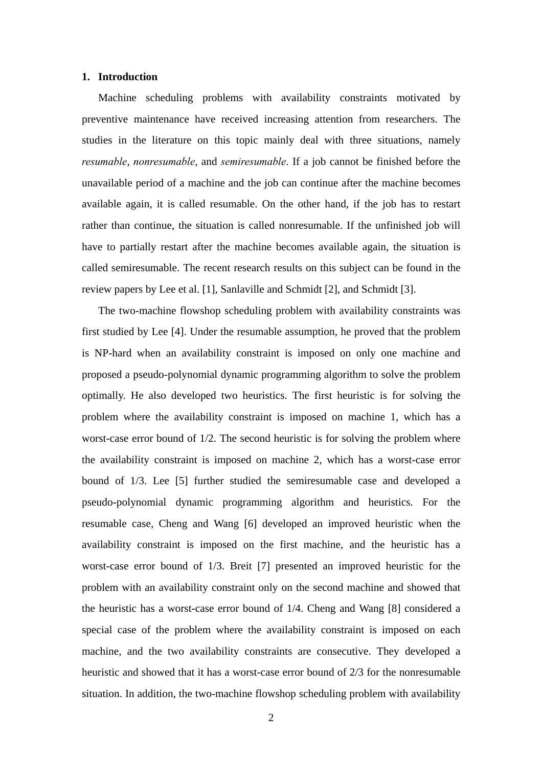### **1. Introduction**

Machine scheduling problems with availability constraints motivated by preventive maintenance have received increasing attention from researchers. The studies in the literature on this topic mainly deal with three situations, namely *resumable*, *nonresumable*, and *semiresumable*. If a job cannot be finished before the unavailable period of a machine and the job can continue after the machine becomes available again, it is called resumable. On the other hand, if the job has to restart rather than continue, the situation is called nonresumable. If the unfinished job will have to partially restart after the machine becomes available again, the situation is called semiresumable. The recent research results on this subject can be found in the review papers by Lee et al. [1], Sanlaville and Schmidt [2], and Schmidt [3].

The two-machine flowshop scheduling problem with availability constraints was first studied by Lee [4]. Under the resumable assumption, he proved that the problem is NP-hard when an availability constraint is imposed on only one machine and proposed a pseudo-polynomial dynamic programming algorithm to solve the problem optimally. He also developed two heuristics. The first heuristic is for solving the problem where the availability constraint is imposed on machine 1, which has a worst-case error bound of 1/2. The second heuristic is for solving the problem where the availability constraint is imposed on machine 2, which has a worst-case error bound of 1/3. Lee [5] further studied the semiresumable case and developed a pseudo-polynomial dynamic programming algorithm and heuristics. For the resumable case, Cheng and Wang [6] developed an improved heuristic when the availability constraint is imposed on the first machine, and the heuristic has a worst-case error bound of 1/3. Breit [7] presented an improved heuristic for the problem with an availability constraint only on the second machine and showed that the heuristic has a worst-case error bound of 1/4. Cheng and Wang [8] considered a special case of the problem where the availability constraint is imposed on each machine, and the two availability constraints are consecutive. They developed a heuristic and showed that it has a worst-case error bound of 2/3 for the nonresumable situation. In addition, the two-machine flowshop scheduling problem with availability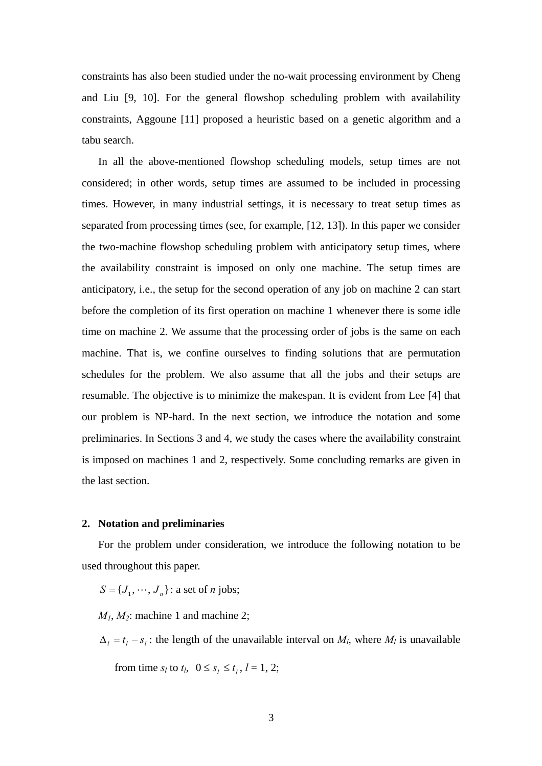constraints has also been studied under the no-wait processing environment by Cheng and Liu [9, 10]. For the general flowshop scheduling problem with availability constraints, Aggoune [11] proposed a heuristic based on a genetic algorithm and a tabu search.

In all the above-mentioned flowshop scheduling models, setup times are not considered; in other words, setup times are assumed to be included in processing times. However, in many industrial settings, it is necessary to treat setup times as separated from processing times (see, for example, [12, 13]). In this paper we consider the two-machine flowshop scheduling problem with anticipatory setup times, where the availability constraint is imposed on only one machine. The setup times are anticipatory, i.e., the setup for the second operation of any job on machine 2 can start before the completion of its first operation on machine 1 whenever there is some idle time on machine 2. We assume that the processing order of jobs is the same on each machine. That is, we confine ourselves to finding solutions that are permutation schedules for the problem. We also assume that all the jobs and their setups are resumable. The objective is to minimize the makespan. It is evident from Lee [4] that our problem is NP-hard. In the next section, we introduce the notation and some preliminaries. In Sections 3 and 4, we study the cases where the availability constraint is imposed on machines 1 and 2, respectively. Some concluding remarks are given in the last section.

## **2. Notation and preliminaries**

For the problem under consideration, we introduce the following notation to be used throughout this paper.

 $S = \{J_1, \cdots, J_n\}$ : a set of *n* jobs;

 $M_1$ ,  $M_2$ : machine 1 and machine 2;

 $\Delta_l = t_l - s_l$ : the length of the unavailable interval on *M<sub>l</sub>*, where *M<sub>l</sub>* is unavailable

from time  $s_l$  to  $t_l$ ,  $0 \le s_l \le t_l$ ,  $l = 1, 2$ ;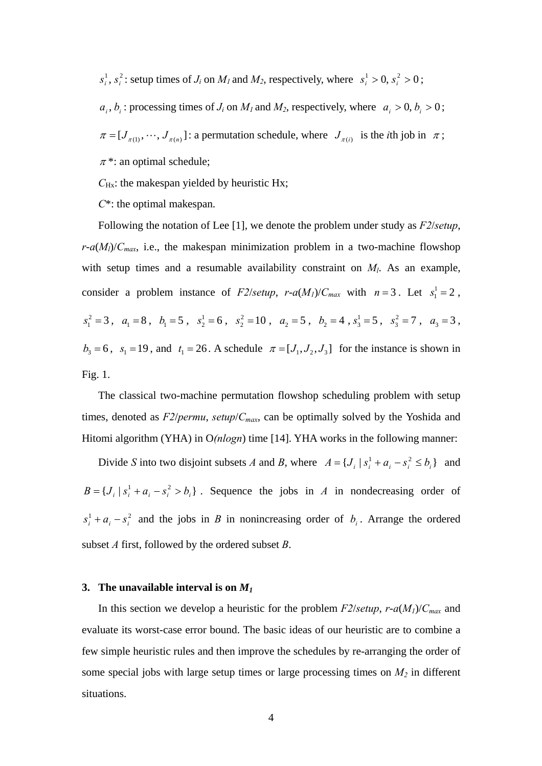$s_i^1, s_i^2$ : setup times of  $J_i$  on  $M_l$  and  $M_2$ , respectively, where  $s_i^1 > 0$ ,  $s_i^2 > 0$ ;

 $a_i, b_i$ : processing times of  $J_i$  on  $M_l$  and  $M_2$ , respectively, where  $a_i > 0, b_i > 0$ ;

 $\pi = [J_{\pi(1)}, \cdots, J_{\pi(n)}]$ : a permutation schedule, where  $J_{\pi(i)}$  is the *i*th job in  $\pi$ ;

 $\pi$ <sup>\*</sup>: an optimal schedule;

*C*<sub>Hx</sub>: the makespan yielded by heuristic Hx;

*C*\*: the optimal makespan.

Following the notation of Lee [1], we denote the problem under study as *F2*/*setup*,  $r-a(M_l)/C_{max}$ , i.e., the makespan minimization problem in a two-machine flowshop with setup times and a resumable availability constraint on  $M_l$ . As an example, consider a problem instance of *F2/setup*,  $r-a(M_1)/C_{max}$  with  $n=3$ . Let  $s_1^1 = 2$ ,  $s_1^2 = 3$ ,  $a_1 = 8$ ,  $b_1 = 5$ ,  $s_2^1 = 6$ ,  $s_2^2 = 10$ ,  $a_2 = 5$ ,  $b_2 = 4$ ,  $s_3^1 = 5$ ,  $s_3^2 = 7$ ,  $a_3 = 3$ ,  $b_3 = 6$ ,  $s_1 = 19$ , and  $t_1 = 26$ . A schedule  $\pi = [J_1, J_2, J_3]$  for the instance is shown in Fig. 1.

The classical two-machine permutation flowshop scheduling problem with setup times, denoted as *F2*/*permu*, *setup*/*Cmax*, can be optimally solved by the Yoshida and Hitomi algorithm (YHA) in O*(nlogn*) time [14]. YHA works in the following manner:

Divide *S* into two disjoint subsets *A* and *B*, where  $A = \{J_i | s_i^1 + a_i - s_i^2 \le b_i\}$  and  $B = \{ J_i | s_i^1 + a_i - s_i^2 > b_i \}$ . Sequence the jobs in *A* in nondecreasing order of  $s_i^1 + a_i - s_i^2$  and the jobs in *B* in nonincreasing order of *b<sub>i</sub>*. Arrange the ordered subset *A* first, followed by the ordered subset *B*.

#### **3.** The unavailable interval is on  $M_1$

In this section we develop a heuristic for the problem  $F2/\text{setup}$ ,  $r-a(M)/C_{\text{max}}$  and evaluate its worst-case error bound. The basic ideas of our heuristic are to combine a few simple heuristic rules and then improve the schedules by re-arranging the order of some special jobs with large setup times or large processing times on  $M_2$  in different situations.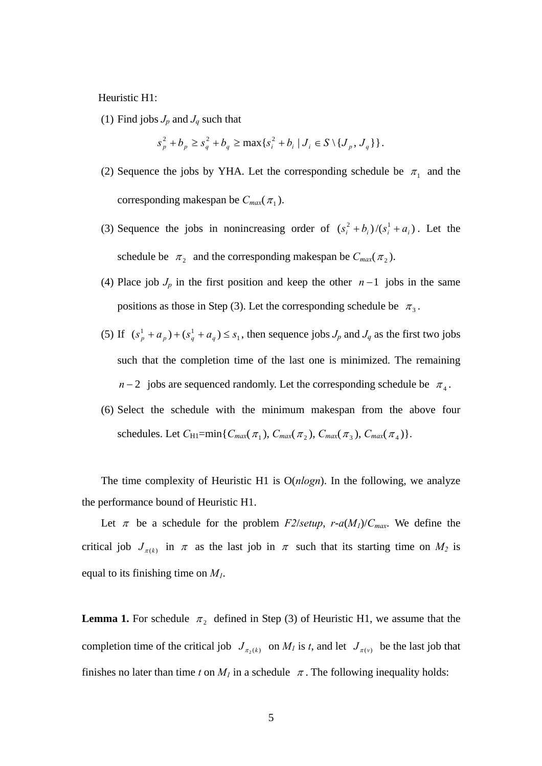Heuristic H1:

(1) Find jobs  $J_p$  and  $J_q$  such that

$$
s_p^2 + b_p \ge s_q^2 + b_q \ge \max\{s_i^2 + b_i \mid J_i \in S \setminus \{J_p, J_q\}\}.
$$

- (2) Sequence the jobs by YHA. Let the corresponding schedule be  $\pi_1$  and the corresponding makespan be  $C_{max}(\pi_1)$ .
- (3) Sequence the jobs in nonincreasing order of  $(s_i^2 + b_i)/(s_i^1 + a_i)$ . Let the schedule be  $\pi_2$  and the corresponding makespan be  $C_{max}(\pi_2)$ .
- (4) Place job *Jp* in the first position and keep the other *n* −1 jobs in the same positions as those in Step (3). Let the corresponding schedule be  $\pi_3$ .
- (5) If  $(s_p^1 + a_p) + (s_q^1 + a_q) \le s_1$ , then sequence jobs *J<sub>p</sub>* and *J<sub>q</sub>* as the first two jobs such that the completion time of the last one is minimized. The remaining *n* − 2 jobs are sequenced randomly. Let the corresponding schedule be  $\pi_4$ .
- (6) Select the schedule with the minimum makespan from the above four schedules. Let  $C_{H1}$ =min{ $C_{max}(\pi_1)$ ,  $C_{max}(\pi_2)$ ,  $C_{max}(\pi_3)$ ,  $C_{max}(\pi_4)$ }.

The time complexity of Heuristic H1 is  $O(n \log n)$ . In the following, we analyze the performance bound of Heuristic H1.

Let  $\pi$  be a schedule for the problem *F2/setup*, *r*-*a*(*M<sub>1</sub>*)/*C<sub>max</sub>*. We define the critical job  $J_{\pi(k)}$  in  $\pi$  as the last job in  $\pi$  such that its starting time on  $M_2$  is equal to its finishing time on *M1*.

**Lemma 1.** For schedule  $\pi_2$  defined in Step (3) of Heuristic H1, we assume that the completion time of the critical job  $J_{\pi_2(k)}$  on  $M_l$  is *t*, and let  $J_{\pi(v)}$  be the last job that finishes no later than time t on  $M_l$  in a schedule  $\pi$ . The following inequality holds: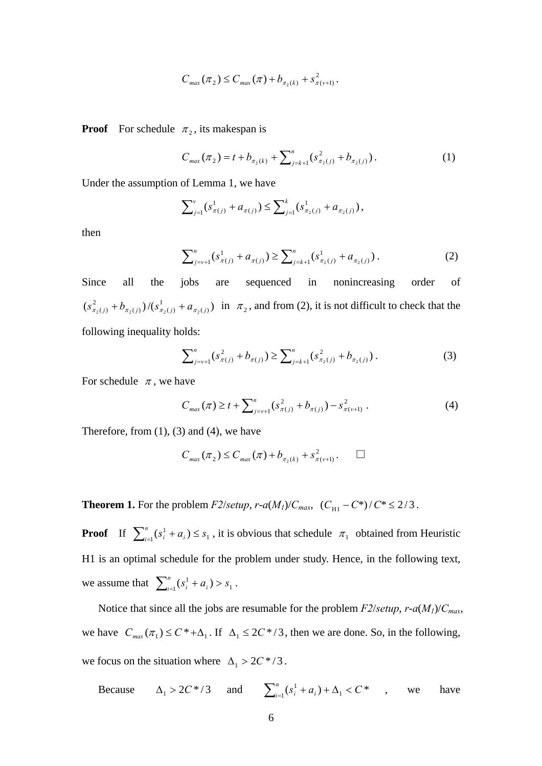$$
C_{\max}(\pi_2) \leq C_{\max}(\pi) + b_{\pi_2(k)} + s_{\pi(\nu+1)}^2.
$$

**Proof** For schedule  $\pi_2$ , its makespan is

$$
C_{\max}(\pi_2) = t + b_{\pi_2(k)} + \sum_{j=k+1}^n (s_{\pi_2(j)}^2 + b_{\pi_2(j)}).
$$
 (1)

Under the assumption of Lemma 1, we have

$$
\sum_{j=1}^{v} (s_{\pi(j)}^1 + a_{\pi(j)}) \leq \sum_{j=1}^{k} (s_{\pi_2(j)}^1 + a_{\pi_2(j)}),
$$

then

$$
\sum_{j=\nu+1}^{n} (s_{\pi(j)}^1 + a_{\pi(j)}) \ge \sum_{j=k+1}^{n} (s_{\pi_2(j)}^1 + a_{\pi_2(j)})
$$
 (2)

Since all the jobs are sequenced in nonincreasing order of  $(s_{\pi_2(j)}^2 + b_{\pi_2(j)})/(s_{\pi_2(j)}^1 + a_{\pi_2(j)})$  $(j)$ <sup> $J'(\mathcal{A}_{\pi_2}(j))$ </sup>  $s_{\pi_2(j)}^2 + b_{\pi_2(j)}$  / $(s_{\pi_2(j)}^1 + a_{\pi_2(j)})$  in  $\pi_2$ , and from (2), it is not difficult to check that the following inequality holds:

$$
\sum_{j=v+1}^{n} (s_{\pi(j)}^2 + b_{\pi(j)}) \ge \sum_{j=k+1}^{n} (s_{\pi_2(j)}^2 + b_{\pi_2(j)})
$$
 (3)

For schedule  $\pi$ , we have

$$
C_{max}(\pi) \ge t + \sum_{j=\nu+1}^{n} (s_{\pi(j)}^2 + b_{\pi(j)}) - s_{\pi(\nu+1)}^2.
$$
 (4)

Therefore, from  $(1)$ ,  $(3)$  and  $(4)$ , we have

$$
C_{\max}(\pi_2) \le C_{\max}(\pi) + b_{\pi_2(k)} + s_{\pi(\nu+1)}^2. \qquad \Box
$$

**Theorem 1.** For the problem *F2*/*setup*, *r*-*a*(*M<sub>1</sub>*)/*C<sub>max</sub>*, (*C*<sub>H1</sub> - *C*<sup>\*</sup>)/ $C^* \le 2/3$ .

**Proof** If  $\sum_{i=1}^{n} (s_i^1 + a_i) \leq s_1$ , it is obvious that schedule  $\pi_1$  obtained from Heuristic H1 is an optimal schedule for the problem under study. Hence, in the following text, we assume that  $\sum_{i=1}^{n} (s_i^1 + a_i) > s_1$ .

Notice that since all the jobs are resumable for the problem *F2*/*setup*, *r*-*a*(*M1*)/*Cmax*, we have  $C_{max}(\pi_1) \le C^* + \Delta_1$ . If  $\Delta_1 \le 2C^* / 3$ , then we are done. So, in the following, we focus on the situation where  $\Delta_1 > 2C^*/3$ .

Because  $\Delta_1 > 2C^*/3$  and  $\sum_{i=1}^n (s_i^1 + a_i) + \Delta_1 < C^*$  , we have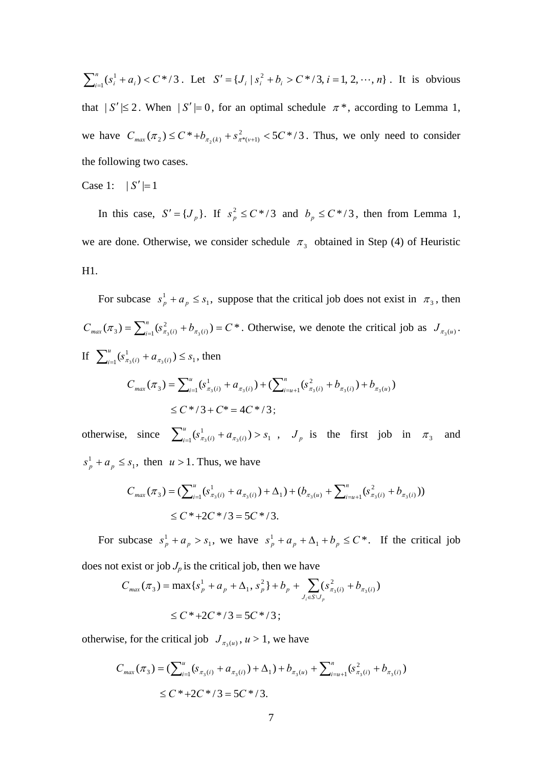$\sum_{i=1}^{n} (s_i^1 + a_i) < C^*/3$ . Let  $S' = \{J_i \mid s_i^2 + b_i > C^*/3, i = 1, 2, \dots, n\}$ . It is obvious that  $|S'| \le 2$ . When  $|S'| = 0$ , for an optimal schedule  $\pi^*$ , according to Lemma 1, we have  $C_{max}(\pi_2) \le C^* + b_{\pi_2(k)} + s_{\pi^*(v+1)}^2 < 5C^* / 3$ . Thus, we only need to consider the following two cases.

#### Case 1:  $|S'|=1$

In this case,  $S' = \{J_p\}$ . If  $s_p^2 \le C^*/3$  and  $b_p \le C^*/3$ , then from Lemma 1, we are done. Otherwise, we consider schedule  $\pi_3$  obtained in Step (4) of Heuristic H1.

For subcase  $s_p^1 + a_p \leq s_1$ , suppose that the critical job does not exist in  $\pi_3$ , then  $C_{max}(\pi_3) = \sum_{i=1}^n (s_{\pi_3(i)}^2 + b_{\pi_3(i)}) = C^*$ . Otherwise, we denote the critical job as  $J_{\pi_3(u)}$ . If  $\sum_{i=1}^{u} (s_{\pi_3(i)}^1 + a_{\pi_3(i)}) \leq s_1$  $\sum_{i=1}^{u} (s_{\pi_3(i)}^1 + a_{\pi_3(i)}) \leq s_1$ , then *n*

$$
C_{max}(\pi_3) = \sum_{i=1}^{u} (s_{\pi_3(i)}^1 + a_{\pi_3(i)}) + (\sum_{i=u+1}^{n} (s_{\pi_3(i)}^2 + b_{\pi_3(i)}) + b_{\pi_3(u)})
$$
  
 
$$
\leq C^* / 3 + C^* = 4C^* / 3;
$$

otherwise, since  $\sum_{i=1}^{u} (s_{\pi_3(i)}^1 + a_{\pi_3(i)}) > s_1$  $\sum_{i=1}^{u} (s_{\pi_3(i)}^1 + a_{\pi_3(i)}) > s_1$ ,  $J_p$  is the first job in  $\pi_3$  and  $s_p^1 + a_p \leq s_1$ , then  $u > 1$ . Thus, we have

$$
C_{max}(\pi_3) = (\sum_{i=1}^{u} (s_{\pi_3(i)}^1 + a_{\pi_3(i)}) + \Delta_1) + (b_{\pi_3(u)} + \sum_{i=u+1}^{n} (s_{\pi_3(i)}^2 + b_{\pi_3(i)}))
$$
  
 
$$
\leq C^* + 2C^* / 3 = 5C^* / 3.
$$

For subcase  $s_p^1 + a_p > s_1$ , we have  $s_p^1 + a_p + \Delta_1 + b_p \le C^*$ . If the critical job

does not exist or job  $J_p$  is the critical job, then we have

$$
C_{max}(\pi_3) = \max \{ s_p^1 + a_p + \Delta_1, s_p^2 \} + b_p + \sum_{J_i \in S \setminus J_p} (s_{\pi_3(i)}^2 + b_{\pi_3(i)})
$$
  
 
$$
\le C^* + 2C^* / 3 = 5C^* / 3;
$$

otherwise, for the critical job  $J_{\pi_3(u)}$ ,  $u > 1$ , we have

$$
C_{max}(\pi_3) = (\sum_{i=1}^{u} (s_{\pi_3(i)} + a_{\pi_3(i)}) + \Delta_1) + b_{\pi_3(u)} + \sum_{i=u+1}^{n} (s_{\pi_3(i)}^2 + b_{\pi_3(i)})
$$
  
 
$$
\leq C^* + 2C^* / 3 = 5C^* / 3.
$$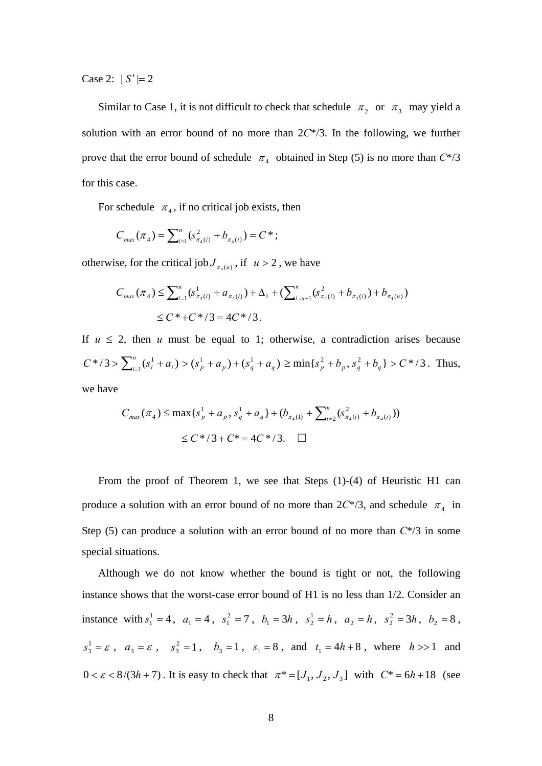Case 2:  $|S'|=2$ 

Similar to Case 1, it is not difficult to check that schedule  $\pi_2$  or  $\pi_3$  may yield a solution with an error bound of no more than 2*C*\*/3. In the following, we further prove that the error bound of schedule  $\pi_4$  obtained in Step (5) is no more than  $C^{*}/3$ for this case.

For schedule  $\pi_4$ , if no critical job exists, then

$$
C_{max}(\pi_4) = \sum_{i=1}^n (s_{\pi_4(i)}^2 + b_{\pi_4(i)}) = C^*;
$$

otherwise, for the critical job  $J_{\pi_4(u)}$ , if  $u > 2$ , we have

$$
C_{max}(\pi_4) \le \sum_{i=1}^u (s_{\pi_4(i)}^1 + a_{\pi_4(i)}) + \Delta_1 + (\sum_{i=u+1}^n (s_{\pi_4(i)}^2 + b_{\pi_4(i)}) + b_{\pi_4(u)})
$$
  
 
$$
\le C^* + C^* / 3 = 4C^* / 3.
$$

If  $u \leq 2$ , then *u* must be equal to 1; otherwise, a contradiction arises because  $C^*/3 > \sum_{i=1}^n (s_i^1 + a_i) > (s_p^1 + a_p) + (s_q^1 + a_q) \ge \min\{s_p^2 + b_p, s_q^2 + b_q\} > C^*/3$ . Thus, we have

$$
C_{\max}(\pi_4) \le \max\{s_p^1 + a_p, s_q^1 + a_q\} + (b_{\pi_4(1)} + \sum_{i=2}^n (s_{\pi_4(i)}^2 + b_{\pi_4(i)}))
$$
  
 
$$
\le C^*/3 + C^* = 4C^*/3. \quad \Box
$$

From the proof of Theorem 1, we see that Steps (1)-(4) of Heuristic H1 can produce a solution with an error bound of no more than  $2C^*/3$ , and schedule  $\pi_4$  in Step (5) can produce a solution with an error bound of no more than *C*\*/3 in some special situations.

 Although we do not know whether the bound is tight or not, the following instance shows that the worst-case error bound of H1 is no less than 1/2. Consider an instance with  $s_1^1 = 4$ ,  $a_1 = 4$ ,  $s_1^2 = 7$ ,  $b_1 = 3h$ ,  $s_2^1 = h$ ,  $a_2 = h$ ,  $s_2^2 = 3h$ ,  $b_2 = 8$ ,  $s_3^1 = \varepsilon$ ,  $a_3 = \varepsilon$ ,  $s_3^2 = 1$ ,  $b_3 = 1$ ,  $s_1 = 8$ , and  $t_1 = 4h + 8$ , where  $h > > 1$  and  $0 < \varepsilon < 8/(3h+7)$ . It is easy to check that  $\pi^* = [J_1, J_2, J_3]$  with  $C^* = 6h+18$  (see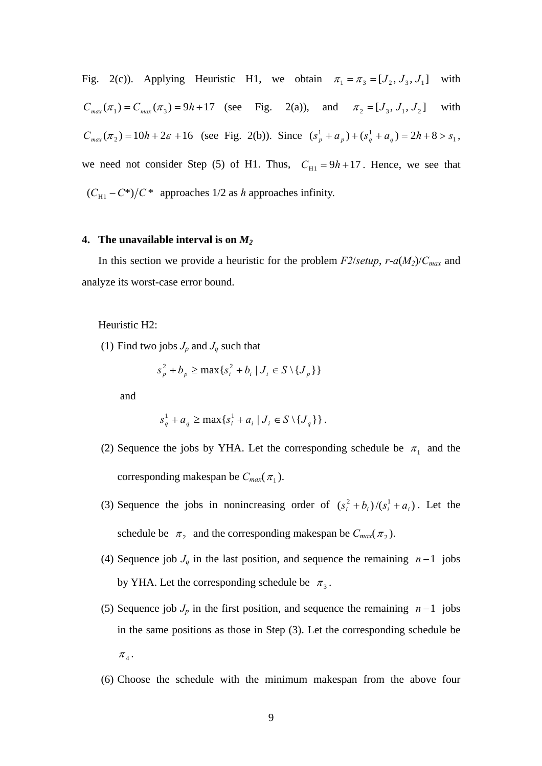Fig. 2(c)). Applying Heuristic H1, we obtain  $\pi_1 = \pi_3 = [J_2, J_3, J_1]$  with  $C_{max}(\pi_1) = C_{max}(\pi_3) = 9h + 17$  (see Fig. 2(a)), and  $\pi_2 = [J_3, J_1, J_2]$  with  $C_{max}(\pi_2) = 10h + 2\varepsilon + 16$  (see Fig. 2(b)). Since  $(s_p^1 + a_p) + (s_q^1 + a_q^2) = 2h + 8 > s_1$ , we need not consider Step (5) of H1. Thus,  $C_{H1} = 9h + 17$ . Hence, we see that  $(C_{\text{H1}} - C^*)/C^*$  approaches 1/2 as *h* approaches infinity.

#### **4. The unavailable interval is on** *M2*

In this section we provide a heuristic for the problem  $F2/\text{setup}$ ,  $r-a(M_2)/C_{\text{max}}$  and analyze its worst-case error bound.

Heuristic H2:

(1) Find two jobs  $J_p$  and  $J_q$  such that

$$
s_p^2 + b_p \ge \max\{s_i^2 + b_i \mid J_i \in S \setminus \{J_p\}\}\
$$

and

$$
s_q^1 + a_q \ge \max\{s_i^1 + a_i \mid J_i \in S \setminus \{J_q\}\}.
$$

- (2) Sequence the jobs by YHA. Let the corresponding schedule be  $\pi_1$  and the corresponding makespan be  $C_{max}(\pi_1)$ .
- (3) Sequence the jobs in nonincreasing order of  $(s_i^2 + b_i)/(s_i^1 + a_i)$ . Let the schedule be  $\pi_2$  and the corresponding makespan be  $C_{max}(\pi_2)$ .
- (4) Sequence job *Jq* in the last position, and sequence the remaining *n* −1 jobs by YHA. Let the corresponding schedule be  $\pi_3$ .
- (5) Sequence job  $J_p$  in the first position, and sequence the remaining  $n-1$  jobs in the same positions as those in Step (3). Let the corresponding schedule be  $\pi$ <sub>4</sub>.
- (6) Choose the schedule with the minimum makespan from the above four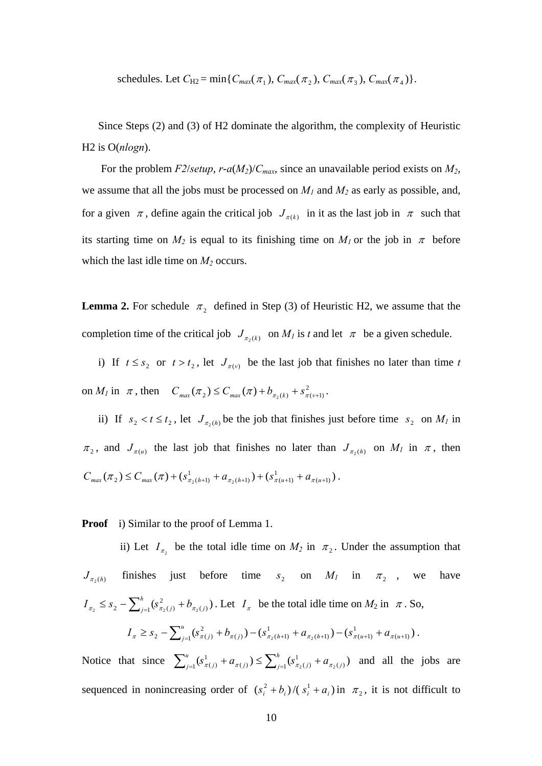schedules. Let  $C_{H2} = \min\{C_{max}(\pi_1), C_{max}(\pi_2), C_{max}(\pi_3), C_{max}(\pi_4)\}.$ 

Since Steps (2) and (3) of H2 dominate the algorithm, the complexity of Heuristic H2 is O(*nlogn*).

For the problem *F2*/*setup*, *r*-*a*(*M2*)/*Cmax*, since an unavailable period exists on *M2*, we assume that all the jobs must be processed on  $M_1$  and  $M_2$  as early as possible, and, for a given  $\pi$ , define again the critical job  $J_{\pi(k)}$  in it as the last job in  $\pi$  such that its starting time on  $M_2$  is equal to its finishing time on  $M_1$  or the job in  $\pi$  before which the last idle time on  $M_2$  occurs.

**Lemma 2.** For schedule  $\pi_2$  defined in Step (3) of Heuristic H2, we assume that the completion time of the critical job  $J_{\pi_2(k)}$  on  $M_l$  is *t* and let  $\pi$  be a given schedule.

i) If  $t \leq s_2$  or  $t > t_2$ , let  $J_{\pi(v)}$  be the last job that finishes no later than time t on  $M_l$  in  $\pi$ , then  $C_{max}(\pi_2) \le C_{max}(\pi) + b_{\pi_2(k)} + s_{\pi(\nu+1)}^2$ .

ii) If  $s_2 < t \le t_2$ , let  $J_{\pi_2(h)}$  be the job that finishes just before time  $s_2$  on  $M_l$  in  $\pi_2$ , and  $J_{\pi(u)}$  the last job that finishes no later than  $J_{\pi_2(h)}$  on  $M_l$  in  $\pi$ , then  $(\pi_2) \le C_{max}(\pi) + (s_{\pi_2(h+1)}^1 + a_{\pi_2(h+1)}) + (s_{\pi(u+1)}^1 + a_{\pi(u+1)})$  $(h+1)$ <sup>T</sup>  $\mathcal{O}_{\pi(u+1)}$  $C_{max}(\pi_2) \le C_{max}(\pi) + (s_{\pi_2(h+1)}^1 + a_{\pi_2(h+1)}) + (s_{\pi(u+1)}^1 + a_{\pi(u+1)})$ .

**Proof** i) Similar to the proof of Lemma 1.

ii) Let  $I_{\pi_2}$  be the total idle time on  $M_2$  in  $\pi_2$ . Under the assumption that  $J_{\pi_2(h)}$  finishes just before time  $s_2$  on  $M_1$  in  $\pi_2$ , we have  $(s_{\pi_2(j)}^2 + b_{\pi_2(j)})$  $\sum_{j=1}^3 \sum_{j=1}^3 (\partial_{\pi_2}(j) + \partial_{\pi_2}(j))$ *h*  $J_{\pi_2} \leq s_2 - \sum_{j=1}^h (s_{\pi_2(j)}^2 + b_{\pi_2(j)})$ . Let  $I_{\pi}$  be the total idle time on  $M_2$  in  $\pi$ . So,  $(s_{\pi(j)}^2 + b_{\pi(j)}) - (s_{\pi_2(h+1)}^1 + a_{\pi_2(h+1)}) - (s_{\pi(u+1)}^1 + a_{\pi(u+1)})$  $(h+1)$ <sup> $\int$ </sup> $\sigma$ <sub> $\pi$ </sub> $(t+1)$ 1  $(j)$ <sup> $j = \sigma_{\pi_2(h+1)}$ </sup>  $\geq S_2 - \sum_{j=1}^{u} (s_{\pi(j)}^2 + b_{\pi(j)}) - (s_{\pi_2(h+1)}^1 + a_{\pi_2(h+1)}) - (s_{\pi(u+1)}^1 + a_{\pi(u+1)})$  $I_{\pi} \geq s_2 - \sum_{j=1}^{u} (s_{\pi(j)}^2 + b_{\pi(j)}) - (s_{\pi_2(h+1)}^1 + a_{\pi_2(h+1)}) - (s_{\pi(u+1)}^1 + a_{\pi(u+1)})$ .

Notice that since  $\sum_{i=1}^{u} (s_{\pi(i)}^1 + a_{\pi(i)}) \leq \sum_{i=1}^{h} (s_{\pi_2(i)}^1 + a_{\pi_2(i)})$  $(j)$ )  $\sum_{j=1}$   $\varphi_{\pi_2(j)}$ 1  $\mathcal{L}_1 \mathfrak{O}_{\pi(j)}$  +  $\mathcal{U}_{\pi(j)}$  /  $\geq \sum_{j=1} \mathcal{U}_{\pi_2(j)}$  +  $\mathcal{U}_{\pi_2(j)}$ *h*  $j$   $\pi$   $\left(\frac{1}{\pi(j)}\right)$   $\Delta$   $\Delta$ *u*  $\sum_{j=1}^{u} (s_{\pi(j)}^1 + a_{\pi(j)}) \leq \sum_{j=1}^{h} (s_{\pi_2(j)}^1 + a_{\pi_2(j)})$  and all the jobs are sequenced in nonincreasing order of  $(s_i^2 + b_i)/(s_i^1 + a_i)$  in  $\pi_2$ , it is not difficult to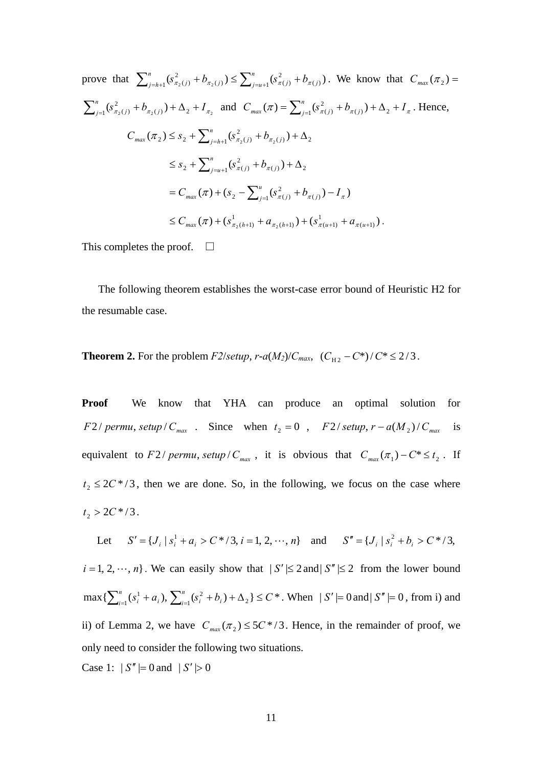prove that 
$$
\sum_{j=h+1}^{n} (s_{\pi_2(j)}^2 + b_{\pi_2(j)}) \le \sum_{j=u+1}^{n} (s_{\pi(j)}^2 + b_{\pi(j)})
$$
. We know that  $C_{max}(\pi_2) = \sum_{j=1}^{n} (s_{\pi_2(j)}^2 + b_{\pi_2(j)}) + \Delta_2 + I_{\pi_2}$  and  $C_{max}(\pi) = \sum_{j=1}^{n} (s_{\pi(j)}^2 + b_{\pi(j)}) + \Delta_2 + I_{\pi}$ . Hence,  
\n
$$
C_{max}(\pi_2) \le s_2 + \sum_{j=h+1}^{n} (s_{\pi_2(j)}^2 + b_{\pi_2(j)}) + \Delta_2
$$
\n
$$
\le s_2 + \sum_{j=u+1}^{n} (s_{\pi(j)}^2 + b_{\pi(j)}) + \Delta_2
$$
\n
$$
= C_{max}(\pi) + (s_2 - \sum_{j=1}^{u} (s_{\pi(j)}^2 + b_{\pi(j)}) - I_{\pi})
$$
\n
$$
\le C_{max}(\pi) + (s_{\pi_2(h+1)}^1 + a_{\pi_2(h+1)}) + (s_{\pi(u+1)}^1 + a_{\pi(u+1)})
$$
.

This completes the proof.  $\square$ 

 The following theorem establishes the worst-case error bound of Heuristic H2 for the resumable case.

**Theorem 2.** For the problem *F2*/*setup*, *r*-*a*(*M<sub>2</sub>*)/*C<sub>max</sub>*, ( $C_{H2} - C^*$ )/ $C^* \le 2/3$ .

**Proof** We know that YHA can produce an optimal solution for *F* 2 / permu, setup /  $C_{max}$  . Since when  $t_2 = 0$ ,  $F$  2 / setup,  $r - a(M_2) / C_{max}$  is equivalent to *F* 2 / *permu*, *setup* /  $C_{max}$ , it is obvious that  $C_{max}(\pi_1) - C^* \le t_2$ . If  $t_2 \le 2C^*/3$ , then we are done. So, in the following, we focus on the case where  $t_2 > 2C^*/3$ .

Let  $S' = \{ J_i | s_i^1 + a_i > C^* / 3, i = 1, 2, \dots, n \}$  and  $S'' = \{ J_i | s_i^2 + b_i > C^* / 3,$  $i = 1, 2, \dots, n$ . We can easily show that  $|S'| \le 2$  and  $|S''| \le 2$  from the lower bound  $\max\{\sum_{i=1}^n(s_i^1+a_i),\sum_{i=1}^n(s_i^2+b_i)+\Delta_2\}\leq C^*$  $\sum_{i=1}^{n} (s_i^1 + a_i), \sum_{i=1}^{n} (s_i^2 + b_i) + \Delta_2$  }  $\leq C$  $\sum_{i=1}^{n} (s_i^1 + a_i), \sum_{i=1}^{n} (s_i^2 + b_i) + \Delta_2$   $\leq C^*$ . When  $|S'| = 0$  and  $|S''| = 0$ , from i) and ii) of Lemma 2, we have  $C_{max}(\pi_2) \le 5C^*/3$ . Hence, in the remainder of proof, we only need to consider the following two situations. Case 1:  $|S''| = 0$  and  $|S'| > 0$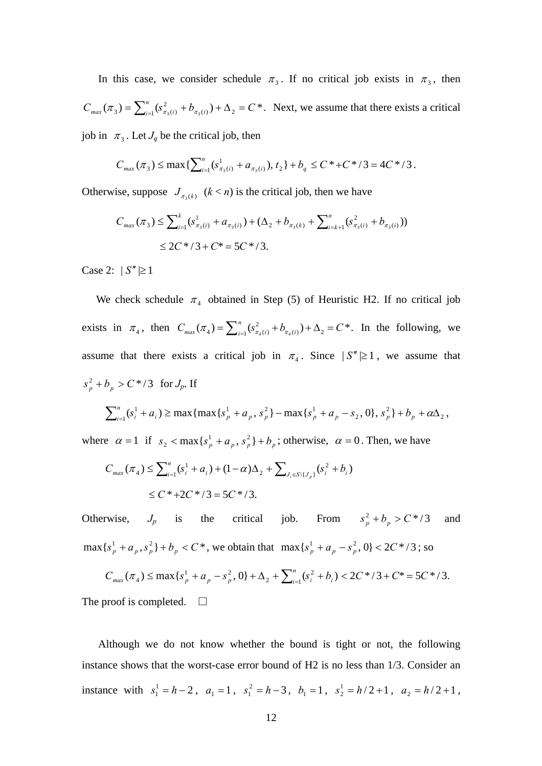In this case, we consider schedule  $\pi_3$ . If no critical job exists in  $\pi_3$ , then  $C_{max}(\pi_3) = \sum_{i=1}^n (s_{\pi_3(i)}^2 + b_{\pi_3(i)}) + \Delta_2 = C^*$ . Next, we assume that there exists a critical job in  $\pi_3$ . Let  $J_q$  be the critical job, then

$$
C_{\max}(\pi_3) \leq \max\{\sum_{i=1}^n (s_{\pi_3(i)}^1 + a_{\pi_3(i)}), t_2\} + b_q \leq C^* + C^* / 3 = 4C^* / 3.
$$

Otherwise, suppose  $J_{\pi_3(k)}$   $(k < n)$  is the critical job, then we have

$$
C_{max}(\pi_3) \le \sum_{i=1}^k (s_{\pi_3(i)}^1 + a_{\pi_3(i)}) + (\Delta_2 + b_{\pi_3(k)} + \sum_{i=k+1}^n (s_{\pi_3(i)}^2 + b_{\pi_3(i)}))
$$
  
 
$$
\le 2C^* / 3 + C^* = 5C^* / 3.
$$

Case 2:  $|S''| \ge 1$ 

We check schedule  $\pi_4$  obtained in Step (5) of Heuristic H2. If no critical job exists in  $\pi_4$ , then  $C_{max}(\pi_4) = \sum_{i=1}^n (s_{\pi_4(i)}^2 + b_{\pi_4(i)}) + \Delta_2 = C^*$ . In the following, we assume that there exists a critical job in  $\pi_4$ . Since  $|S''| \ge 1$ , we assume that  $s_p^2 + b_p > C^*/3$  for  $J_p$ . If

$$
\sum_{i=1}^{n} (s_i^1 + a_i) \ge \max\{\max\{s_p^1 + a_p, s_p^2\} - \max\{s_p^1 + a_p - s_2, 0\}, s_p^2\} + b_p + a\Delta_2,
$$

where  $\alpha = 1$  if  $s_2 < \max\{s_p^1 + a_p, s_p^2\} + b_p$ ; otherwise,  $\alpha = 0$ . Then, we have

$$
C_{max}(\pi_4) \le \sum_{i=1}^n (s_i^1 + a_i) + (1 - \alpha)\Delta_2 + \sum_{J_i \in S \setminus \{J_p\}} (s_i^2 + b_i)
$$
  
 
$$
\le C^* + 2C^* / 3 = 5C^* / 3.
$$

Otherwise,  $J_p$  is the critical job. From  $s_p^2 + b_p > C^* / 3$  and  $\max\{s_p^1 + a_p, s_p^2\} + b_p < C^*$ , we obtain that  $\max\{s_p^1 + a_p - s_p^2, 0\} < 2C^* / 3$ ; so

$$
C_{\max}(\pi_4) \le \max\{s_p^1 + a_p - s_p^2, 0\} + \Delta_2 + \sum_{i=1}^n (s_i^2 + b_i) < 2C^* / 3 + C^* = 5C^* / 3.
$$
\nThe proof is completed.

\n
$$
\Box
$$

 Although we do not know whether the bound is tight or not, the following instance shows that the worst-case error bound of H2 is no less than 1/3. Consider an instance with  $s_1^1 = h - 2$ ,  $a_1 = 1$ ,  $s_1^2 = h - 3$ ,  $b_1 = 1$ ,  $s_2^1 = h/2 + 1$ ,  $a_2 = h/2 + 1$ ,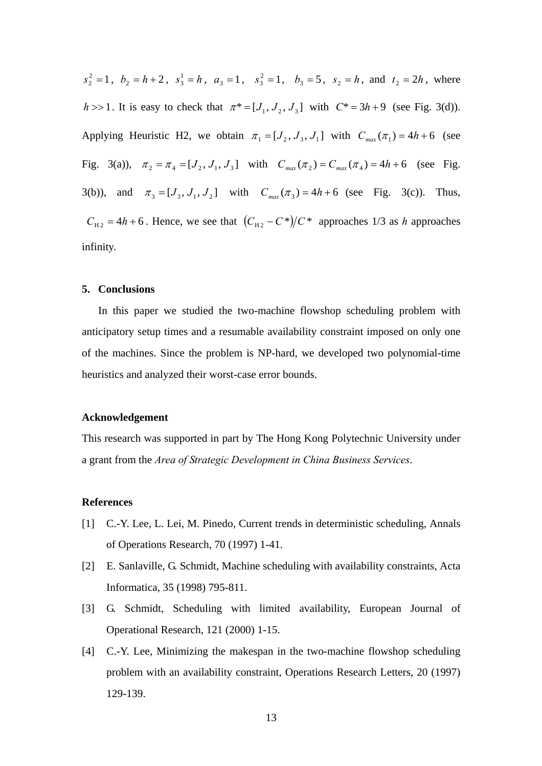$s_2^2 = 1$ ,  $b_2 = h+2$ ,  $s_3^1 = h$ ,  $a_3 = 1$ ,  $s_3^2 = 1$ ,  $b_3 = 5$ ,  $s_2 = h$ , and  $t_2 = 2h$ , where *h* >> 1. It is easy to check that  $\pi^* = [J_1, J_2, J_3]$  with  $C^* = 3h + 9$  (see Fig. 3(d)). Applying Heuristic H2, we obtain  $\pi_1 = [J_2, J_3, J_1]$  with  $C_{max}(\pi_1) = 4h+6$  (see Fig. 3(a)),  $\pi_2 = \pi_4 = [J_2, J_1, J_3]$  with  $C_{max}(\pi_2) = C_{max}(\pi_4) = 4h + 6$  (see Fig. 3(b)), and  $\pi_3 = [J_3, J_1, J_2]$  with  $C_{\text{max}}(\pi_3) = 4h + 6$  (see Fig. 3(c)). Thus,  $C_{H2} = 4h + 6$ . Hence, we see that  $(C_{H2} - C^*)/C^*$  approaches 1/3 as *h* approaches infinity.

### **5. Conclusions**

In this paper we studied the two-machine flowshop scheduling problem with anticipatory setup times and a resumable availability constraint imposed on only one of the machines. Since the problem is NP-hard, we developed two polynomial-time heuristics and analyzed their worst-case error bounds.

### **Acknowledgement**

This research was supported in part by The Hong Kong Polytechnic University under a grant from the *Area of Strategic Development in China Business Services*.

#### **References**

- [1] C.-Y. Lee, L. Lei, M. Pinedo, Current trends in deterministic scheduling, Annals of Operations Research, 70 (1997) 1-41.
- [2] E. Sanlaville, G. Schmidt, Machine scheduling with availability constraints, Acta Informatica, 35 (1998) 795-811.
- [3] G. Schmidt, Scheduling with limited availability, European Journal of Operational Research, 121 (2000) 1-15.
- [4] C.-Y. Lee, Minimizing the makespan in the two-machine flowshop scheduling problem with an availability constraint, Operations Research Letters, 20 (1997) 129-139.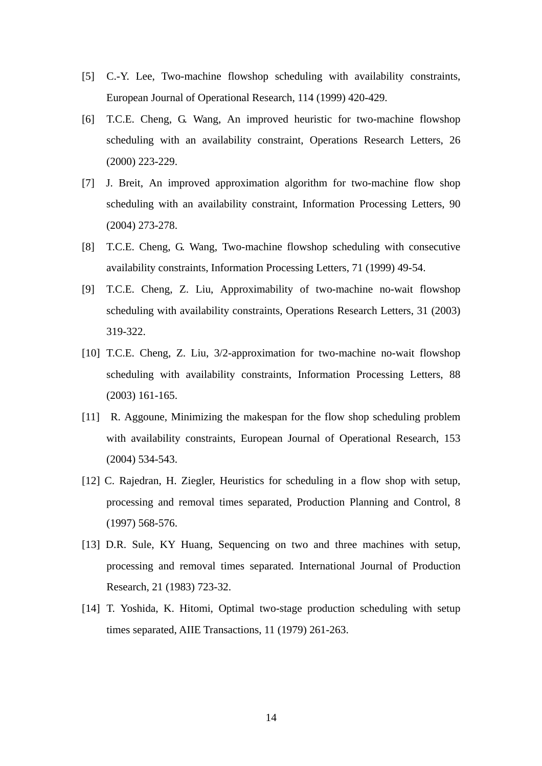- [5] C.-Y. Lee, Two-machine flowshop scheduling with availability constraints, European Journal of Operational Research, 114 (1999) 420-429.
- [6] T.C.E. Cheng, G. Wang, An improved heuristic for two-machine flowshop scheduling with an availability constraint, Operations Research Letters, 26 (2000) 223-229.
- [7] J. Breit, An improved approximation algorithm for two-machine flow shop scheduling with an availability constraint, Information Processing Letters, 90 (2004) 273-278.
- [8] T.C.E. Cheng, G. Wang, Two-machine flowshop scheduling with consecutive availability constraints, Information Processing Letters, 71 (1999) 49-54.
- [9] T.C.E. Cheng, Z. Liu, Approximability of two-machine no-wait flowshop scheduling with availability constraints, Operations Research Letters, 31 (2003) 319-322.
- [10] T.C.E. Cheng, Z. Liu,  $3/2$ -approximation for two-machine no-wait flowshop scheduling with availability constraints, Information Processing Letters, 88 (2003) 161-165.
- [11] R. Aggoune, Minimizing the makespan for the flow shop scheduling problem with availability constraints, European Journal of Operational Research, 153 (2004) 534-543.
- [12] C. Rajedran, H. Ziegler, Heuristics for scheduling in a flow shop with setup, processing and removal times separated, Production Planning and Control, 8 (1997) 568-576.
- [13] D.R. Sule, KY Huang, Sequencing on two and three machines with setup, processing and removal times separated. International Journal of Production Research, 21 (1983) 723-32.
- [14] T. Yoshida, K. Hitomi, Optimal two-stage production scheduling with setup times separated, AIIE Transactions, 11 (1979) 261-263.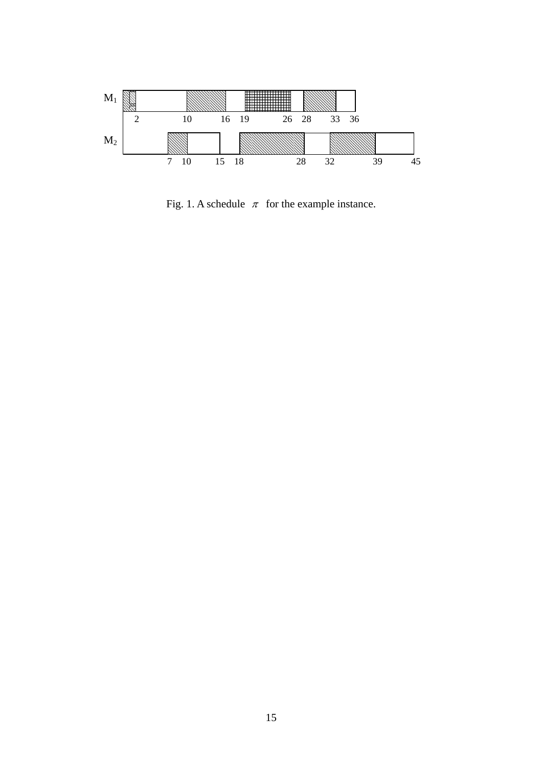

Fig. 1. A schedule  $\pi$  for the example instance.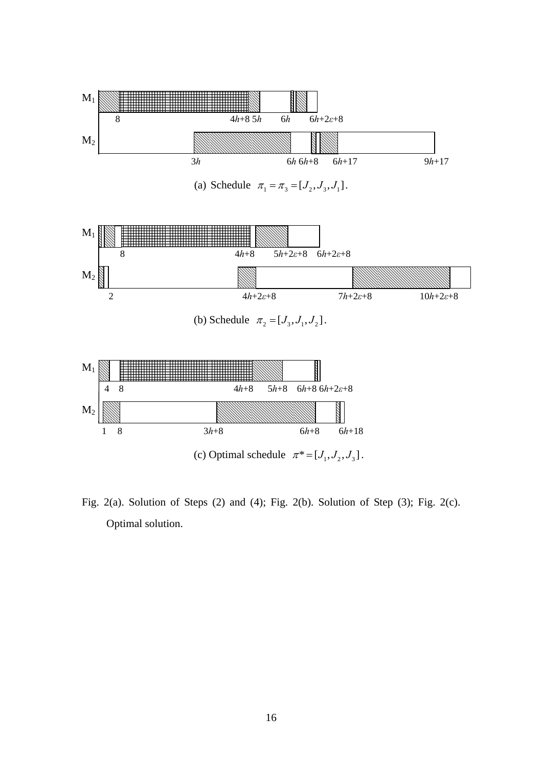

Fig. 2(a). Solution of Steps (2) and (4); Fig. 2(b). Solution of Step (3); Fig. 2(c). Optimal solution.